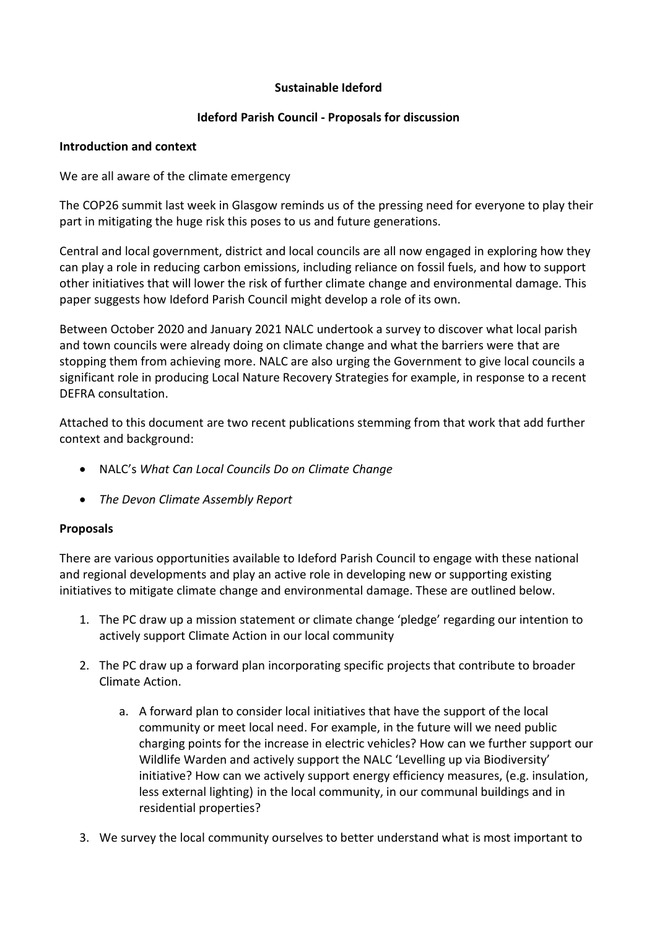## **Sustainable Ideford**

## **Ideford Parish Council - Proposals for discussion**

### **Introduction and context**

We are all aware of the climate emergency

The COP26 summit last week in Glasgow reminds us of the pressing need for everyone to play their part in mitigating the huge risk this poses to us and future generations.

Central and local government, district and local councils are all now engaged in exploring how they can play a role in reducing carbon emissions, including reliance on fossil fuels, and how to support other initiatives that will lower the risk of further climate change and environmental damage. This paper suggests how Ideford Parish Council might develop a role of its own.

Between October 2020 and January 2021 NALC undertook a survey to discover what local parish and town councils were already doing on climate change and what the barriers were that are stopping them from achieving more. NALC are also urging the Government to give local councils a significant role in producing Local Nature Recovery Strategies for example, in response to a recent DEFRA consultation.

Attached to this document are two recent publications stemming from that work that add further context and background:

- NALC's *What Can Local Councils Do on Climate Change*
- *The Devon Climate Assembly Report*

# **Proposals**

There are various opportunities available to Ideford Parish Council to engage with these national and regional developments and play an active role in developing new or supporting existing initiatives to mitigate climate change and environmental damage. These are outlined below.

- 1. The PC draw up a mission statement or climate change 'pledge' regarding our intention to actively support Climate Action in our local community
- 2. The PC draw up a forward plan incorporating specific projects that contribute to broader Climate Action.
	- a. A forward plan to consider local initiatives that have the support of the local community or meet local need. For example, in the future will we need public charging points for the increase in electric vehicles? How can we further support our Wildlife Warden and actively support the NALC 'Levelling up via Biodiversity' initiative? How can we actively support energy efficiency measures, (e.g. insulation, less external lighting) in the local community, in our communal buildings and in residential properties?
- 3. We survey the local community ourselves to better understand what is most important to